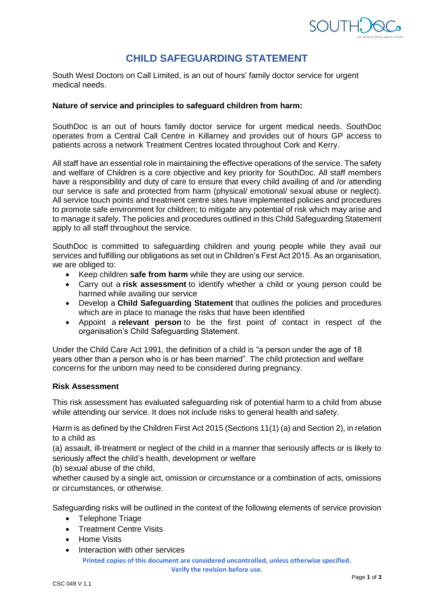

# **CHILD SAFEGUARDING STATEMENT**

South West Doctors on Call Limited, is an out of hours' family doctor service for urgent medical needs.

### **Nature of service and principles to safeguard children from harm:**

SouthDoc is an out of hours family doctor service for urgent medical needs. SouthDoc operates from a Central Call Centre in Killarney and provides out of hours GP access to patients across a network Treatment Centres located throughout Cork and Kerry.

All staff have an essential role in maintaining the effective operations of the service. The safety and welfare of Children is a core objective and key priority for SouthDoc. All staff members have a responsibility and duty of care to ensure that every child availing of and /or attending our service is safe and protected from harm (physical/ emotional/ sexual abuse or neglect). All service touch points and treatment centre sites have implemented policies and procedures to promote safe environment for children; to mitigate any potential of risk which may arise and to manage it safely. The policies and procedures outlined in this Child Safeguarding Statement apply to all staff throughout the service.

SouthDoc is committed to safeguarding children and young people while they avail our services and fulfilling our obligations as set out in Children's First Act 2015. As an organisation, we are obliged to:

- Keep children **safe from harm** while they are using our service.
- Carry out a **risk assessment** to identify whether a child or young person could be harmed while availing our service
- Develop a **Child Safeguarding Statement** that outlines the policies and procedures which are in place to manage the risks that have been identified
- Appoint a **relevant person** to be the first point of contact in respect of the organisation's Child Safeguarding Statement.

Under the Child Care Act 1991, the definition of a child is "a person under the age of 18 years other than a person who is or has been married". The child protection and welfare concerns for the unborn may need to be considered during pregnancy.

### **Risk Assessment**

This risk assessment has evaluated safeguarding risk of potential harm to a child from abuse while attending our service. It does not include risks to general health and safety.

Harm is as defined by the Children First Act 2015 (Sections 11(1) (a) and Section 2), in relation to a child as

(a) assault, ill‐treatment or neglect of the child in a manner that seriously affects or is likely to seriously affect the child's health, development or welfare

(b) sexual abuse of the child,

whether caused by a single act, omission or circumstance or a combination of acts, omissions or circumstances, or otherwise.

Safeguarding risks will be outlined in the context of the following elements of service provision

- Telephone Triage
- Treatment Centre Visits
- **Home Visits**
- Interaction with other services

**Printed copies of this document are considered uncontrolled, unless otherwise specified. Verify the revision before use.**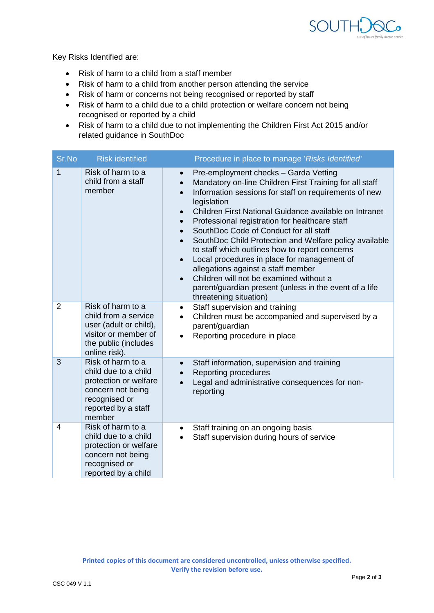

# Key Risks Identified are:

- Risk of harm to a child from a staff member
- Risk of harm to a child from another person attending the service
- Risk of harm or concerns not being recognised or reported by staff
- Risk of harm to a child due to a child protection or welfare concern not being recognised or reported by a child
- Risk of harm to a child due to not implementing the Children First Act 2015 and/or related guidance in SouthDoc

| Sr.No          | <b>Risk identified</b>                                                                                                                    | Procedure in place to manage 'Risks Identified'                                                                                                                                                                                                                                                                                                                                                                                                                                                                                                                                                                                                                                                                                                           |
|----------------|-------------------------------------------------------------------------------------------------------------------------------------------|-----------------------------------------------------------------------------------------------------------------------------------------------------------------------------------------------------------------------------------------------------------------------------------------------------------------------------------------------------------------------------------------------------------------------------------------------------------------------------------------------------------------------------------------------------------------------------------------------------------------------------------------------------------------------------------------------------------------------------------------------------------|
| $\mathbf{1}$   | Risk of harm to a<br>child from a staff<br>member                                                                                         | Pre-employment checks - Garda Vetting<br>$\bullet$<br>Mandatory on-line Children First Training for all staff<br>Information sessions for staff on requirements of new<br>$\bullet$<br>legislation<br>Children First National Guidance available on Intranet<br>$\bullet$<br>Professional registration for healthcare staff<br>$\bullet$<br>SouthDoc Code of Conduct for all staff<br>$\bullet$<br>SouthDoc Child Protection and Welfare policy available<br>$\bullet$<br>to staff which outlines how to report concerns<br>Local procedures in place for management of<br>$\bullet$<br>allegations against a staff member<br>Children will not be examined without a<br>parent/guardian present (unless in the event of a life<br>threatening situation) |
| $\overline{2}$ | Risk of harm to a<br>child from a service<br>user (adult or child),<br>visitor or member of<br>the public (includes<br>online risk).      | Staff supervision and training<br>$\bullet$<br>Children must be accompanied and supervised by a<br>$\bullet$<br>parent/guardian<br>Reporting procedure in place<br>$\bullet$                                                                                                                                                                                                                                                                                                                                                                                                                                                                                                                                                                              |
| 3              | Risk of harm to a<br>child due to a child<br>protection or welfare<br>concern not being<br>recognised or<br>reported by a staff<br>member | Staff information, supervision and training<br>$\bullet$<br>Reporting procedures<br>$\bullet$<br>Legal and administrative consequences for non-<br>reporting                                                                                                                                                                                                                                                                                                                                                                                                                                                                                                                                                                                              |
| 4              | Risk of harm to a<br>child due to a child<br>protection or welfare<br>concern not being<br>recognised or<br>reported by a child           | Staff training on an ongoing basis<br>$\bullet$<br>Staff supervision during hours of service<br>$\bullet$                                                                                                                                                                                                                                                                                                                                                                                                                                                                                                                                                                                                                                                 |